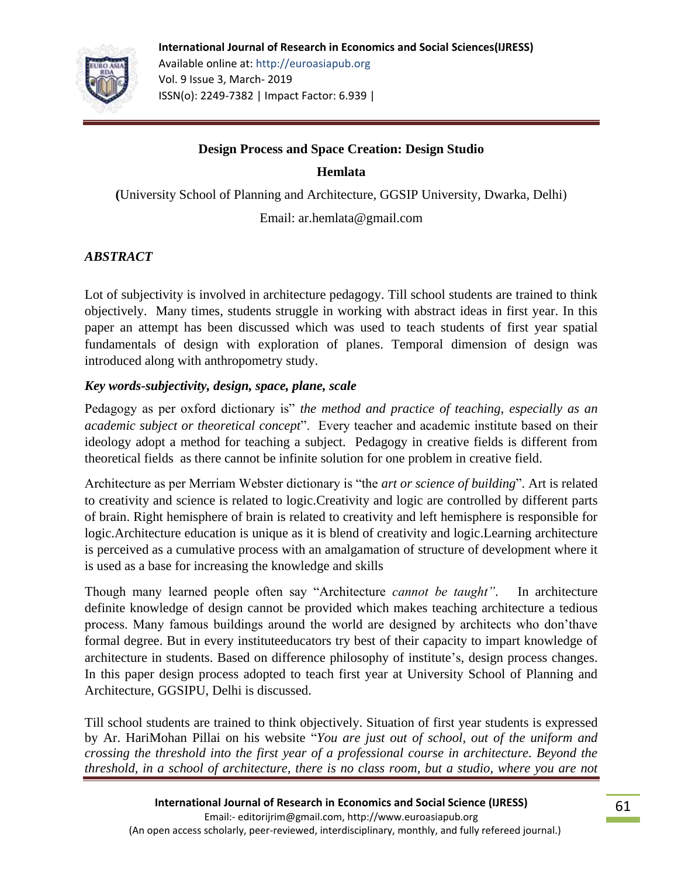

# **Design Process and Space Creation: Design Studio**

**Hemlata**

**(**University School of Planning and Architecture, GGSIP University, Dwarka, Delhi)

Email: ar.hemlata@gmail.com

# *ABSTRACT*

Lot of subjectivity is involved in architecture pedagogy. Till school students are trained to think objectively. Many times, students struggle in working with abstract ideas in first year. In this paper an attempt has been discussed which was used to teach students of first year spatial fundamentals of design with exploration of planes. Temporal dimension of design was introduced along with anthropometry study.

## *Key words-subjectivity, design, space, plane, scale*

Pedagogy as per oxford dictionary is" *the method and practice of teaching, especially as an academic subject or theoretical concept*". Every teacher and academic institute based on their ideology adopt a method for teaching a subject. Pedagogy in creative fields is different from theoretical fields as there cannot be infinite solution for one problem in creative field.

Architecture as per Merriam Webster dictionary is "the *art or science of building*". Art is related to creativity and science is related to logic.Creativity and logic are controlled by different parts of brain. Right hemisphere of brain is related to creativity and left hemisphere is responsible for logic.Architecture education is unique as it is blend of creativity and logic.Learning architecture is perceived as a cumulative process with an amalgamation of structure of development where it is used as a base for increasing the knowledge and skills

Though many learned people often say "Architecture *cannot be taught"*. In architecture definite knowledge of design cannot be provided which makes teaching architecture a tedious process. Many famous buildings around the world are designed by architects who don'thave formal degree. But in every instituteeducators try best of their capacity to impart knowledge of architecture in students. Based on difference philosophy of institute's, design process changes. In this paper design process adopted to teach first year at University School of Planning and Architecture, GGSIPU, Delhi is discussed.

Till school students are trained to think objectively. Situation of first year students is expressed by Ar. HariMohan Pillai on his website "*You are just out of school, out of the uniform and crossing the threshold into the first year of a professional course in architecture. Beyond the threshold, in a school of architecture, there is no class room, but a studio, where you are not*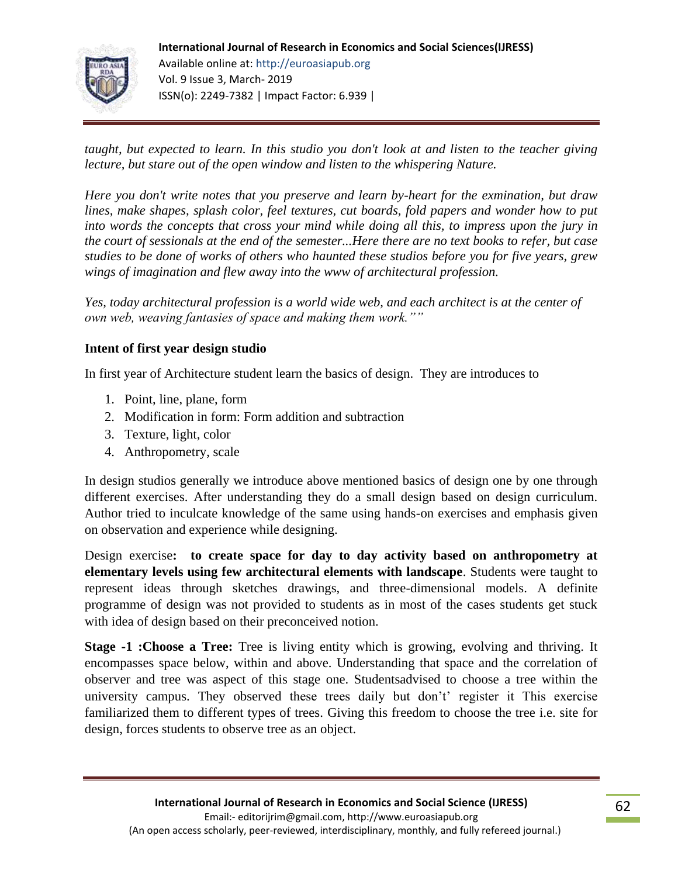

*taught, but expected to learn. In this studio you don't look at and listen to the teacher giving lecture, but stare out of the open window and listen to the whispering Nature.*

*Here you don't write notes that you preserve and learn by-heart for the exmination, but draw lines, make shapes, splash color, feel textures, cut boards, fold papers and wonder how to put into words the concepts that cross your mind while doing all this, to impress upon the jury in the court of sessionals at the end of the semester...Here there are no text books to refer, but case studies to be done of works of others who haunted these studios before you for five years, grew wings of imagination and flew away into the www of architectural profession.*

*Yes, today architectural profession is a world wide web, and each architect is at the center of own web, weaving fantasies of space and making them work.""* 

## **Intent of first year design studio**

In first year of Architecture student learn the basics of design. They are introduces to

- 1. Point, line, plane, form
- 2. Modification in form: Form addition and subtraction
- 3. Texture, light, color
- 4. Anthropometry, scale

In design studios generally we introduce above mentioned basics of design one by one through different exercises. After understanding they do a small design based on design curriculum. Author tried to inculcate knowledge of the same using hands-on exercises and emphasis given on observation and experience while designing.

Design exercise**: to create space for day to day activity based on anthropometry at elementary levels using few architectural elements with landscape**. Students were taught to represent ideas through sketches drawings, and three-dimensional models. A definite programme of design was not provided to students as in most of the cases students get stuck with idea of design based on their preconceived notion.

**Stage -1 : Choose a Tree:** Tree is living entity which is growing, evolving and thriving. It encompasses space below, within and above. Understanding that space and the correlation of observer and tree was aspect of this stage one. Studentsadvised to choose a tree within the university campus. They observed these trees daily but don't' register it This exercise familiarized them to different types of trees. Giving this freedom to choose the tree i.e. site for design, forces students to observe tree as an object.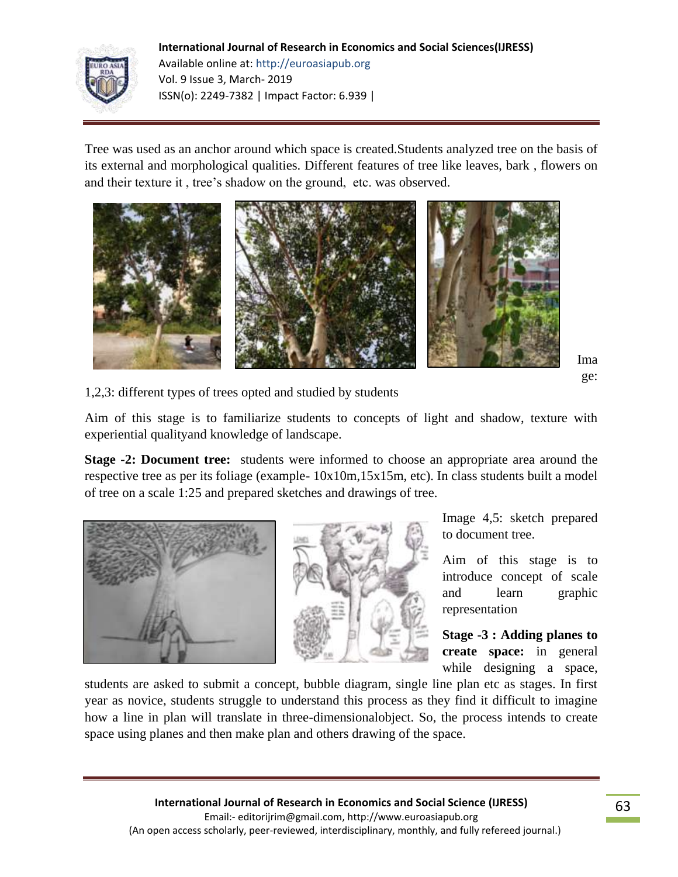

**International Journal of Research in Economics and Social Sciences(IJRESS)** Available online at: http://euroasiapub.org Vol. 9 Issue 3, March- 2019 ISSN(o): 2249-7382 | Impact Factor: 6.939 |

Tree was used as an anchor around which space is created.Students analyzed tree on the basis of its external and morphological qualities. Different features of tree like leaves, bark , flowers on and their texture it , tree's shadow on the ground, etc. was observed.



Ima ge:

1,2,3: different types of trees opted and studied by students

Aim of this stage is to familiarize students to concepts of light and shadow, texture with experiential qualityand knowledge of landscape.

**Stage -2: Document tree:** students were informed to choose an appropriate area around the respective tree as per its foliage (example- 10x10m,15x15m, etc). In class students built a model of tree on a scale 1:25 and prepared sketches and drawings of tree.



Image 4,5: sketch prepared to document tree.

Aim of this stage is to introduce concept of scale and learn graphic representation

**Stage -3 : Adding planes to create space:** in general while designing a space,

students are asked to submit a concept, bubble diagram, single line plan etc as stages. In first year as novice, students struggle to understand this process as they find it difficult to imagine how a line in plan will translate in three-dimensionalobject. So, the process intends to create space using planes and then make plan and others drawing of the space.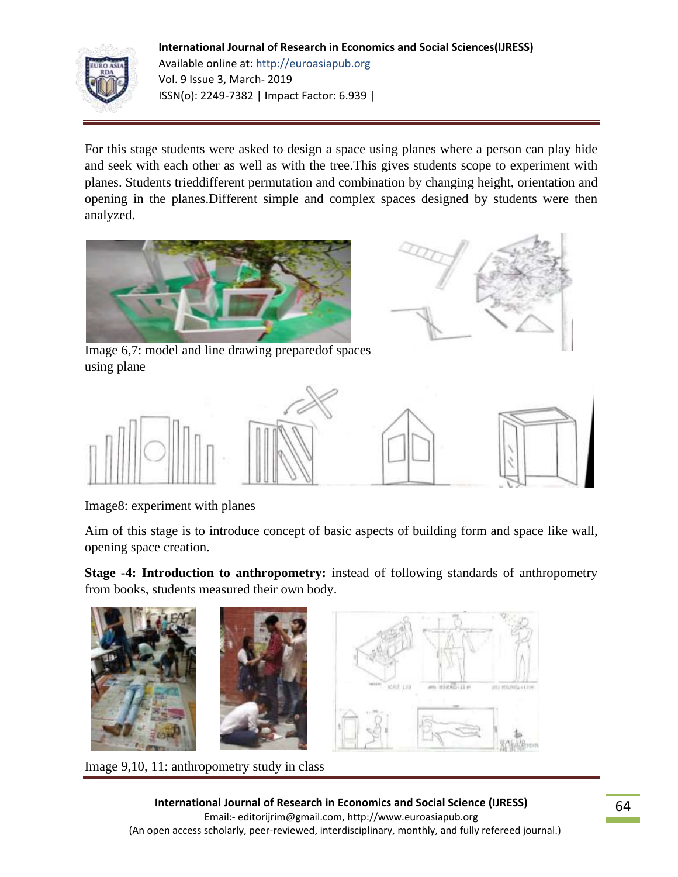#### **International Journal of Research in Economics and Social Sciences(IJRESS)**



Available online at: http://euroasiapub.org Vol. 9 Issue 3, March- 2019 ISSN(o): 2249-7382 | Impact Factor: 6.939 |

For this stage students were asked to design a space using planes where a person can play hide and seek with each other as well as with the tree.This gives students scope to experiment with planes. Students trieddifferent permutation and combination by changing height, orientation and opening in the planes.Different simple and complex spaces designed by students were then analyzed.





Image 6,7: model and line drawing preparedof spaces using plane



Image8: experiment with planes

Aim of this stage is to introduce concept of basic aspects of building form and space like wall, opening space creation.

**Stage -4: Introduction to anthropometry:** instead of following standards of anthropometry from books, students measured their own body.



Image 9,10, 11: anthropometry study in class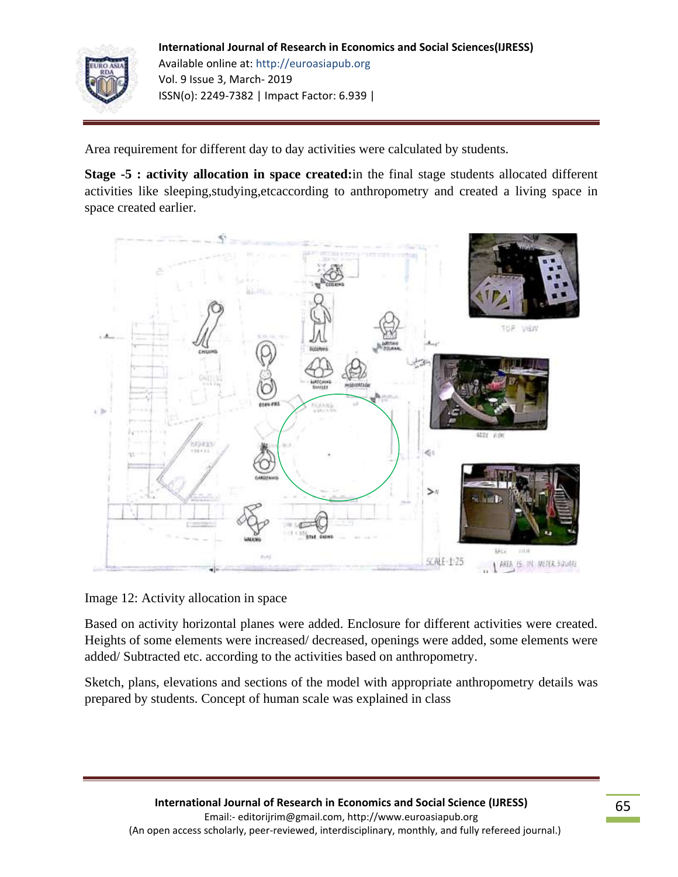

**International Journal of Research in Economics and Social Sciences(IJRESS)** Available online at: http://euroasiapub.org Vol. 9 Issue 3, March- 2019 ISSN(o): 2249-7382 | Impact Factor: 6.939 |

Area requirement for different day to day activities were calculated by students.

**Stage -5 : activity allocation in space created:**in the final stage students allocated different activities like sleeping,studying,etcaccording to anthropometry and created a living space in space created earlier.



Image 12: Activity allocation in space

Based on activity horizontal planes were added. Enclosure for different activities were created. Heights of some elements were increased/ decreased, openings were added, some elements were added/ Subtracted etc. according to the activities based on anthropometry.

Sketch, plans, elevations and sections of the model with appropriate anthropometry details was prepared by students. Concept of human scale was explained in class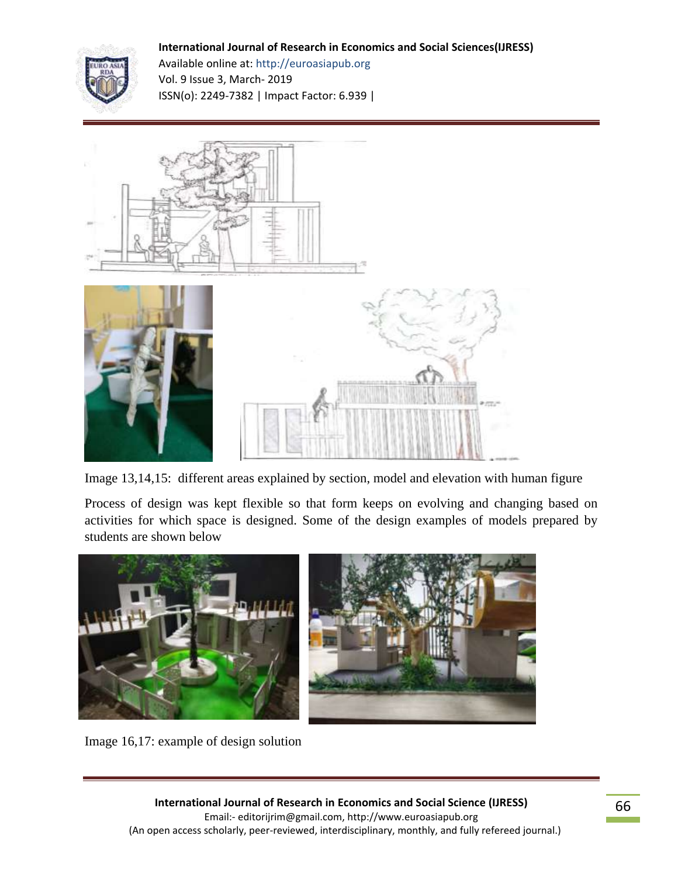#### **International Journal of Research in Economics and Social Sciences(IJRESS)**



Available online at: http://euroasiapub.org Vol. 9 Issue 3, March- 2019 ISSN(o): 2249-7382 | Impact Factor: 6.939 |



Image 13,14,15: different areas explained by section, model and elevation with human figure

Process of design was kept flexible so that form keeps on evolving and changing based on activities for which space is designed. Some of the design examples of models prepared by students are shown below



Image 16,17: example of design solution